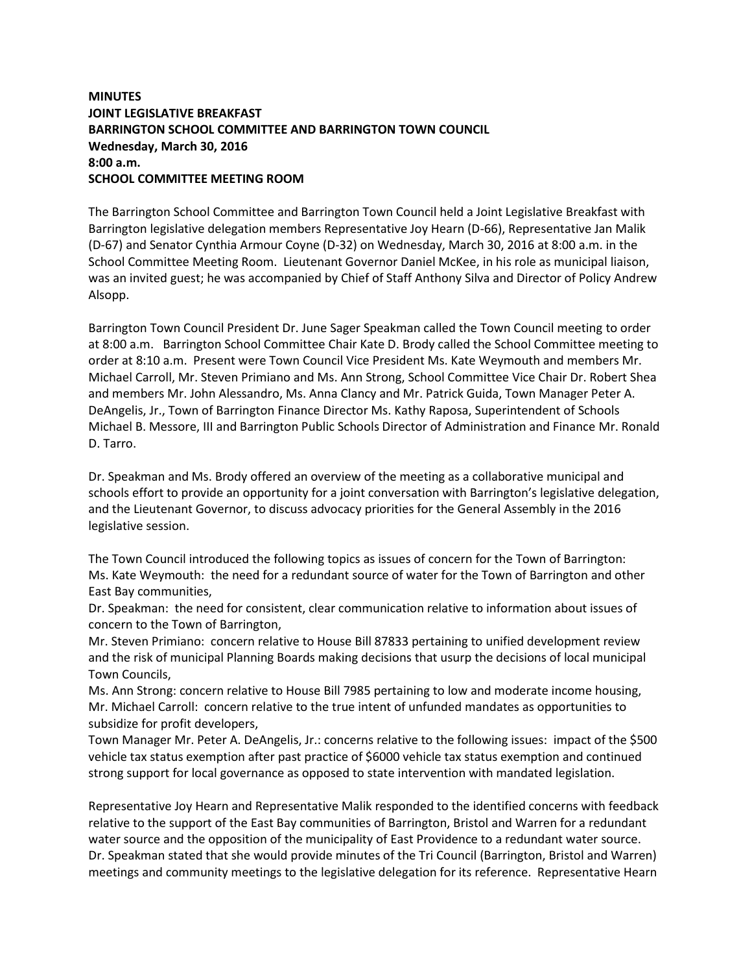## **MINUTES JOINT LEGISLATIVE BREAKFAST BARRINGTON SCHOOL COMMITTEE AND BARRINGTON TOWN COUNCIL Wednesday, March 30, 2016 8:00 a.m. SCHOOL COMMITTEE MEETING ROOM**

The Barrington School Committee and Barrington Town Council held a Joint Legislative Breakfast with Barrington legislative delegation members Representative Joy Hearn (D-66), Representative Jan Malik (D-67) and Senator Cynthia Armour Coyne (D-32) on Wednesday, March 30, 2016 at 8:00 a.m. in the School Committee Meeting Room. Lieutenant Governor Daniel McKee, in his role as municipal liaison, was an invited guest; he was accompanied by Chief of Staff Anthony Silva and Director of Policy Andrew Alsopp.

Barrington Town Council President Dr. June Sager Speakman called the Town Council meeting to order at 8:00 a.m. Barrington School Committee Chair Kate D. Brody called the School Committee meeting to order at 8:10 a.m. Present were Town Council Vice President Ms. Kate Weymouth and members Mr. Michael Carroll, Mr. Steven Primiano and Ms. Ann Strong, School Committee Vice Chair Dr. Robert Shea and members Mr. John Alessandro, Ms. Anna Clancy and Mr. Patrick Guida, Town Manager Peter A. DeAngelis, Jr., Town of Barrington Finance Director Ms. Kathy Raposa, Superintendent of Schools Michael B. Messore, III and Barrington Public Schools Director of Administration and Finance Mr. Ronald D. Tarro.

Dr. Speakman and Ms. Brody offered an overview of the meeting as a collaborative municipal and schools effort to provide an opportunity for a joint conversation with Barrington's legislative delegation, and the Lieutenant Governor, to discuss advocacy priorities for the General Assembly in the 2016 legislative session.

The Town Council introduced the following topics as issues of concern for the Town of Barrington: Ms. Kate Weymouth: the need for a redundant source of water for the Town of Barrington and other East Bay communities,

Dr. Speakman: the need for consistent, clear communication relative to information about issues of concern to the Town of Barrington,

Mr. Steven Primiano: concern relative to House Bill 87833 pertaining to unified development review and the risk of municipal Planning Boards making decisions that usurp the decisions of local municipal Town Councils,

Ms. Ann Strong: concern relative to House Bill 7985 pertaining to low and moderate income housing, Mr. Michael Carroll: concern relative to the true intent of unfunded mandates as opportunities to subsidize for profit developers,

Town Manager Mr. Peter A. DeAngelis, Jr.: concerns relative to the following issues: impact of the \$500 vehicle tax status exemption after past practice of \$6000 vehicle tax status exemption and continued strong support for local governance as opposed to state intervention with mandated legislation.

Representative Joy Hearn and Representative Malik responded to the identified concerns with feedback relative to the support of the East Bay communities of Barrington, Bristol and Warren for a redundant water source and the opposition of the municipality of East Providence to a redundant water source. Dr. Speakman stated that she would provide minutes of the Tri Council (Barrington, Bristol and Warren) meetings and community meetings to the legislative delegation for its reference. Representative Hearn